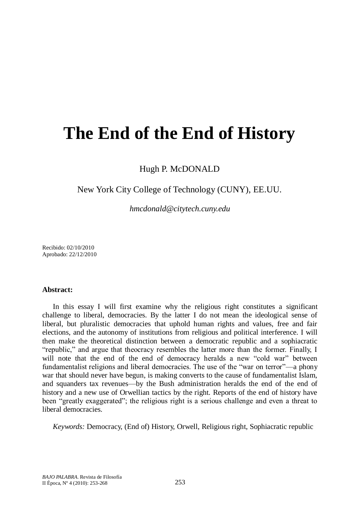# **The End of the End of History**

Hugh P. McDONALD

## New York City College of Technology (CUNY), EE.UU.

*hmcdonald@citytech.cuny.edu*

Recibido: 02/10/2010 Aprobado: 22/12/2010

## **Abstract:**

In this essay I will first examine why the religious right constitutes a significant challenge to liberal, democracies. By the latter I do not mean the ideological sense of liberal, but pluralistic democracies that uphold human rights and values, free and fair elections, and the autonomy of institutions from religious and political interference. I will then make the theoretical distinction between a democratic republic and a sophiacratic ―republic,‖ and argue that theocracy resembles the latter more than the former. Finally, I will note that the end of the end of democracy heralds a new "cold war" between fundamentalist religions and liberal democracies. The use of the "war on terror"—a phony war that should never have begun, is making converts to the cause of fundamentalist Islam, and squanders tax revenues—by the Bush administration heralds the end of the end of history and a new use of Orwellian tactics by the right. Reports of the end of history have been "greatly exaggerated"; the religious right is a serious challenge and even a threat to liberal democracies.

*Keywords:* Democracy, (End of) History, Orwell, Religious right, Sophiacratic republic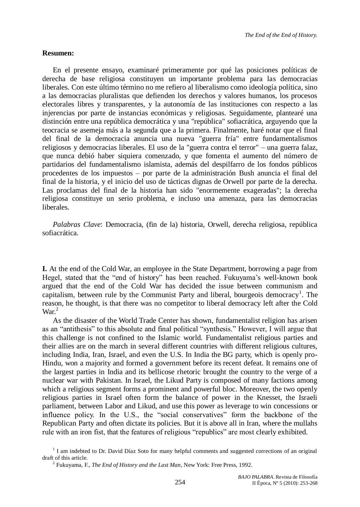## **Resumen:**

En el presente ensayo, examinaré primeramente por qué las posiciones políticas de derecha de base religiosa constituyen un importante problema para las democracias liberales. Con este último término no me refiero al liberalismo como ideología política, sino a las democracias pluralistas que defienden los derechos y valores humanos, los procesos electorales libres y transparentes, y la autonomía de las instituciones con respecto a las injerencias por parte de instancias económicas y religiosas. Seguidamente, plantearé una distinción entre una república democrática y una "república" sofiacrática, arguyendo que la teocracia se asemeja más a la segunda que a la primera. Finalmente, haré notar que el final del final de la democracia anuncia una nueva "guerra fría" entre fundamentalismos religiosos y democracias liberales. El uso de la "guerra contra el terror" – una guerra falaz, que nunca debió haber siquiera comenzado, y que fomenta el aumento del número de partidarios del fundamentalismo islamista, además del despilfarro de los fondos públicos procedentes de los impuestos – por parte de la administración Bush anuncia el final del final de la historia, y el inicio del uso de tácticas dignas de Orwell por parte de la derecha. Las proclamas del final de la historia han sido "enormemente exageradas"; la derecha religiosa constituye un serio problema, e incluso una amenaza, para las democracias liberales.

*Palabras Clave*: Democracia, (fin de la) historia, Orwell, derecha religiosa, república sofiacrática.

**I.** At the end of the Cold War, an employee in the State Department, borrowing a page from Hegel, stated that the "end of history" has been reached. Fukuyama's well-known book argued that the end of the Cold War has decided the issue between communism and capitalism, between rule by the Communist Party and liberal, bourgeois democracy<sup>1</sup>. The reason, he thought, is that there was no competitor to liberal democracy left after the Cold  $\text{War}^2$ 

As the disaster of the World Trade Center has shown, fundamentalist religion has arisen as an "antithesis" to this absolute and final political "synthesis." However, I will argue that this challenge is not confined to the Islamic world. Fundamentalist religious parties and their allies are on the march in several different countries with different religious cultures, including India, Iran, Israel, and even the U.S. In India the BG party, which is openly pro-Hindu, won a majority and formed a government before its recent defeat. It remains one of the largest parties in India and its bellicose rhetoric brought the country to the verge of a nuclear war with Pakistan. In Israel, the Likud Party is composed of many factions among which a religious segment forms a prominent and powerful bloc. Moreover, the two openly religious parties in Israel often form the balance of power in the Knesset, the Israeli parliament, between Labor and Likud, and use this power as leverage to win concessions or influence policy. In the U.S., the "social conservatives" form the backbone of the Republican Party and often dictate its policies. But it is above all in Iran, where the mullahs rule with an iron fist, that the features of religious "republics" are most clearly exhibited.

<sup>&</sup>lt;sup>1</sup> I am indebted to Dr. David Díaz Soto for many helpful comments and suggested corrections of an original draft of this article.

<sup>2</sup> Fukuyama, F., *The End of History and the Last Man*, New York: Free Press, 1992.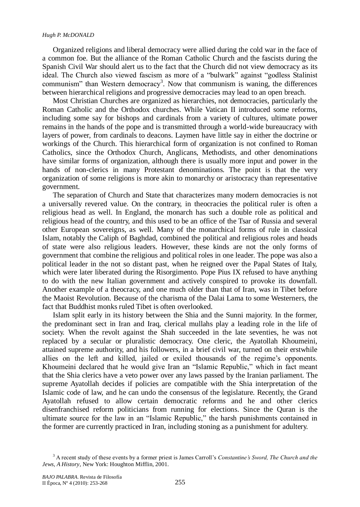#### *Hugh P. McDONALD*

Organized religions and liberal democracy were allied during the cold war in the face of a common foe. But the alliance of the Roman Catholic Church and the fascists during the Spanish Civil War should alert us to the fact that the Church did not view democracy as its ideal. The Church also viewed fascism as more of a "bulwark" against "godless Stalinist communism" than Western democracy<sup>3</sup>. Now that communism is waning, the differences between hierarchical religions and progressive democracies may lead to an open breach.

Most Christian Churches are organized as hierarchies, not democracies, particularly the Roman Catholic and the Orthodox churches. While Vatican II introduced some reforms, including some say for bishops and cardinals from a variety of cultures, ultimate power remains in the hands of the pope and is transmitted through a world-wide bureaucracy with layers of power, from cardinals to deacons. Laymen have little say in either the doctrine or workings of the Church. This hierarchical form of organization is not confined to Roman Catholics, since the Orthodox Church, Anglicans, Methodists, and other denominations have similar forms of organization, although there is usually more input and power in the hands of non-clerics in many Protestant denominations. The point is that the very organization of some religions is more akin to monarchy or aristocracy than representative government.

The separation of Church and State that characterizes many modern democracies is not a universally revered value. On the contrary, in theocracies the political ruler is often a religious head as well. In England, the monarch has such a double role as political and religious head of the country, and this used to be an office of the Tsar of Russia and several other European sovereigns, as well. Many of the monarchical forms of rule in classical Islam, notably the Caliph of Baghdad, combined the political and religious roles and heads of state were also religious leaders. However, these kinds are not the only forms of government that combine the religious and political roles in one leader. The pope was also a political leader in the not so distant past, when he reigned over the Papal States of Italy, which were later liberated during the Risorgimento. Pope Pius IX refused to have anything to do with the new Italian government and actively conspired to provoke its downfall. Another example of a theocracy, and one much older than that of Iran, was in Tibet before the Maoist Revolution. Because of the charisma of the Dalai Lama to some Westerners, the fact that Buddhist monks ruled Tibet is often overlooked.

Islam split early in its history between the Shia and the Sunni majority. In the former, the predominant sect in Iran and Iraq, clerical mullahs play a leading role in the life of society. When the revolt against the Shah succeeded in the late seventies, he was not replaced by a secular or pluralistic democracy. One cleric, the Ayatollah Khoumeini, attained supreme authority, and his followers, in a brief civil war, turned on their erstwhile allies on the left and killed, jailed or exiled thousands of the regime's opponents. Khoumeini declared that he would give Iran an "Islamic Republic," which in fact meant that the Shia clerics have a veto power over any laws passed by the Iranian parliament. The supreme Ayatollah decides if policies are compatible with the Shia interpretation of the Islamic code of law, and he can undo the consensus of the legislature. Recently, the Grand Ayatollah refused to allow certain democratic reforms and he and other clerics disenfranchised reform politicians from running for elections. Since the Quran is the ultimate source for the law in an "Islamic Republic," the harsh punishments contained in the former are currently practiced in Iran, including stoning as a punishment for adultery.

<sup>3</sup> A recent study of these events by a former priest is James Carroll's *Constantine's Sword, The Church and the Jews, A History*, New York: Houghton Mifflin, 2001.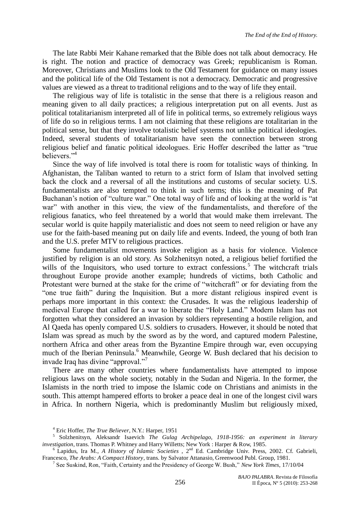The late Rabbi Meir Kahane remarked that the Bible does not talk about democracy. He is right. The notion and practice of democracy was Greek; republicanism is Roman. Moreover, Christians and Muslims look to the Old Testament for guidance on many issues and the political life of the Old Testament is not a democracy. Democratic and progressive values are viewed as a threat to traditional religions and to the way of life they entail.

The religious way of life is totalistic in the sense that there is a religious reason and meaning given to all daily practices; a religious interpretation put on all events. Just as political totalitarianism interpreted all of life in political terms, so extremely religious ways of life do so in religious terms. I am not claiming that these religions are totalitarian in the political sense, but that they involve totalistic belief systems not unlike political ideologies. Indeed, several students of totalitarianism have seen the connection between strong religious belief and fanatic political ideologues. Eric Hoffer described the latter as "true believers<sup>"4</sup>

Since the way of life involved is total there is room for totalistic ways of thinking. In Afghanistan, the Taliban wanted to return to a strict form of Islam that involved setting back the clock and a reversal of all the institutions and customs of secular society. U.S. fundamentalists are also tempted to think in such terms; this is the meaning of Pat Buchanan's notion of "culture war." One total way of life and of looking at the world is "at war" with another in this view, the view of the fundamentalists, and therefore of the religious fanatics, who feel threatened by a world that would make them irrelevant. The secular world is quite happily materialistic and does not seem to need religion or have any use for the faith-based meaning put on daily life and events. Indeed, the young of both Iran and the U.S. prefer MTV to religious practices.

Some fundamentalist movements invoke religion as a basis for violence. Violence justified by religion is an old story. As Solzhenitsyn noted, a religious belief fortified the wills of the Inquisitors, who used torture to extract confessions.<sup>5</sup> The witchcraft trials throughout Europe provide another example; hundreds of victims, both Catholic and Protestant were burned at the stake for the crime of "witchcraft" or for deviating from the "one true faith" during the Inquisition. But a more distant religious inspired event is perhaps more important in this context: the Crusades. It was the religious leadership of medieval Europe that called for a war to liberate the "Holy Land." Modern Islam has not forgotten what they considered an invasion by soldiers representing a hostile religion, and Al Qaeda has openly compared U.S. soldiers to crusaders. However, it should be noted that Islam was spread as much by the sword as by the word, and captured modern Palestine, northern Africa and other areas from the Byzantine Empire through war, even occupying much of the Iberian Peninsula.<sup>6</sup> Meanwhile, George W. Bush declared that his decision to invade Iraq has divine "approval."<sup>7</sup>

There are many other countries where fundamentalists have attempted to impose religious laws on the whole society, notably in the Sudan and Nigeria. In the former, the Islamists in the north tried to impose the Islamic code on Christians and animists in the south. This attempt hampered efforts to broker a peace deal in one of the longest civil wars in Africa. In northern Nigeria, which is predominantly Muslim but religiously mixed,

<sup>4</sup> Eric Hoffer, *The True Believer*, N.Y.: Harper, 1951

<sup>5</sup> Solzhenitsyn, Aleksandr Isaevich *The Gulag Archipelago, 1918-1956: an experiment in literary investigation*, trans. Thomas P. Whitney and Harry Willetts; New York : Harper & Row, 1985.

<sup>6</sup> Lapidus, Ira M., *A History of Islamic Societies* , 2nd Ed. Cambridge Univ. Press, 2002. Cf. Gabrieli, Francesco, *The Arabs: A Compact History*, trans. by Salvator Attanasio, Greenwood Publ. Group, 1981.

<sup>&</sup>lt;sup>7</sup> See Suskind, Ron, "Faith, Certainty and the Presidency of George W. Bush," New York Times, 17/10/04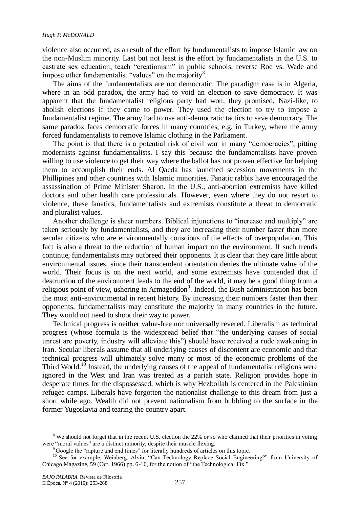violence also occurred, as a result of the effort by fundamentalists to impose Islamic law on the non-Muslim minority. Last but not least is the effort by fundamentalists in the U.S. to castrate sex education, teach "creationism" in public schools, reverse Roe vs. Wade and impose other fundamentalist "values" on the majority<sup>8</sup>.

The aims of the fundamentalists are not democratic. The paradigm case is in Algeria, where in an odd paradox, the army had to void an election to save democracy. It was apparent that the fundamentalist religious party had won; they promised, Nazi-like, to abolish elections if they came to power. They used the election to try to impose a fundamentalist regime. The army had to use anti-democratic tactics to save democracy. The same paradox faces democratic forces in many countries, e.g. in Turkey, where the army forced fundamentalists to remove Islamic clothing in the Parliament.

The point is that there is a potential risk of civil war in many "democracies", pitting modernists against fundamentalists. I say this because the fundamentalists have proven willing to use violence to get their way where the ballot has not proven effective for helping them to accomplish their ends. Al Qaeda has launched secession movements in the Phillipines and other countries with Islamic minorities. Fanatic rabbis have encouraged the assassination of Prime Minister Sharon. In the U.S., anti-abortion extremists have killed doctors and other health care professionals. However, even where they do not resort to violence, these fanatics, fundamentalists and extremists constitute a threat to democratic and pluralist values.

Another challenge is sheer numbers. Biblical injunctions to "increase and multiply" are taken seriously by fundamentalists, and they are increasing their number faster than more secular citizens who are environmentally conscious of the effects of overpopulation. This fact is also a threat to the reduction of human impact on the environment. If such trends continue, fundamentalists may outbreed their opponents. It is clear that they care little about environmental issues, since their transcendent orientation denies the ultimate value of the world. Their focus is on the next world, and some extremists have contended that if destruction of the environment leads to the end of the world, it may be a good thing from a religious point of view, ushering in Armageddon<sup>9</sup>. Indeed, the Bush administration has been the most anti-environmental in recent history. By increasing their numbers faster than their opponents, fundamentalists may constitute the majority in many countries in the future. They would not need to shoot their way to power.

Technical progress is neither value-free nor universally revered. Liberalism as technical progress (whose formula is the widespread belief that "the underlying causes of social unrest are poverty, industry will alleviate this") should have received a rude awakening in Iran. Secular liberals assume that all underlying causes of discontent are economic and that technical progress will ultimately solve many or most of the economic problems of the Third World.<sup>10</sup> Instead, the underlying causes of the appeal of fundamentalist religions were ignored in the West and Iran was treated as a pariah state. Religion provides hope in desperate times for the dispossessed, which is why Hezbollah is centered in the Palestinian refugee camps. Liberals have forgotten the nationalist challenge to this dream from just a short while ago. Wealth did not prevent nationalism from bubbling to the surface in the former Yugoslavia and tearing the country apart.

<sup>&</sup>lt;sup>8</sup> We should not forget that in the recent U.S. election the 22% or so who claimed that their priorities in voting were "moral values" are a distinct minority, despite their muscle flexing.

<sup>&</sup>lt;sup>9</sup> Google the "rapture and end times" for literally hundreds of articles on this topic.

<sup>&</sup>lt;sup>10</sup> See for example, Weinberg, Alvin, "Can Technology Replace Social Engineering?" from University of Chicago Magazine, 59 (Oct. 1966) pp. 6-10, for the notion of "the Technological Fix."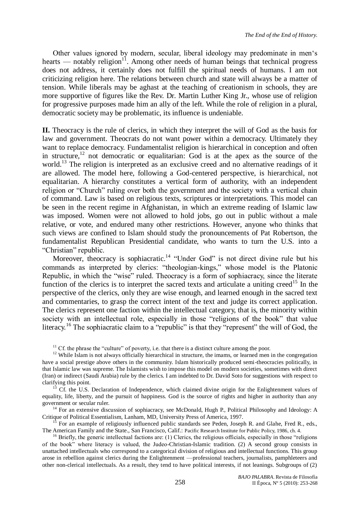Other values ignored by modern, secular, liberal ideology may predominate in men's hearts — notably religion<sup>11</sup>. Among other needs of human beings that technical progress does not address, it certainly does not fulfill the spiritual needs of humans. I am not criticizing religion here. The relations between church and state will always be a matter of tension. While liberals may be aghast at the teaching of creationism in schools, they are more supportive of figures like the Rev. Dr. Martin Luther King Jr., whose use of religion for progressive purposes made him an ally of the left. While the role of religion in a plural, democratic society may be problematic, its influence is undeniable.

**II.** Theocracy is the rule of clerics, in which they interpret the will of God as the basis for law and government. Theocrats do not want power within a democracy. Ultimately they want to replace democracy. Fundamentalist religion is hierarchical in conception and often in structure,<sup>12</sup> not democratic or equalitarian: God is at the apex as the source of the world.<sup>13</sup> The religion is interpreted as an exclusive creed and no alternative readings of it are allowed. The model here, following a God-centered perspective, is hierarchical, not equalitarian. A hierarchy constitutes a vertical form of authority, with an independent religion or "Church" ruling over both the government and the society with a vertical chain of command. Law is based on religious texts, scriptures or interpretations. This model can be seen in the recent regime in Afghanistan, in which an extreme reading of Islamic law was imposed. Women were not allowed to hold jobs, go out in public without a male relative, or vote, and endured many other restrictions. However, anyone who thinks that such views are confined to Islam should study the pronouncements of Pat Robertson, the fundamentalist Republican Presidential candidate, who wants to turn the U.S. into a "Christian" republic.

Moreover, theocracy is sophiacratic.<sup>14</sup> "Under God" is not direct divine rule but his commands as interpreted by clerics: "theologian-kings," whose model is the Platonic Republic, in which the "wise" ruled. Theocracy is a form of sophiacracy, since the literate function of the clerics is to interpret the sacred texts and articulate a uniting creed<sup>15</sup> In the perspective of the clerics, only they are wise enough, and learned enough in the sacred text and commentaries, to grasp the correct intent of the text and judge its correct application. The clerics represent one faction within the intellectual category, that is, the minority within society with an intellectual role, especially in those "religions of the book" that value literacy.<sup>16</sup> The sophiacratic claim to a "republic" is that they "represent" the will of God, the

 $11$  Cf. the phrase the "culture" of poverty, i.e. that there is a distinct culture among the poor.

<sup>12</sup> While Islam is not always officially hierarchical in structure, the imams, or learned men in the congregation have a social prestige above others in the community. Islam historically produced semi-theocracies politically, in that Islamic law was supreme. The Islamists wish to impose this model on modern societies, sometimes with direct (Iran) or indirect (Saudi Arabia) rule by the clerics. I am indebted to Dr. David Soto for suggestions with respect to clarifying this point.

<sup>13</sup> Cf. the U.S. Declaration of Independence, which claimed divine origin for the Enlightenment values of equality, life, liberty, and the pursuit of happiness. God is the source of rights and higher in authority than any government or secular ruler.

<sup>14</sup> For an extensive discussion of sophiacracy, see McDonald, Hugh P., Political Philosophy and Ideology: A Critique of Political Essentialism, Lanham, MD, University Press of America, 1997.

<sup>15</sup> For an example of religiously influenced public standards see Peden, Joseph R. and Glahe, Fred R., eds., The American Family and the State., San Francisco, Calif.: Pacific Research Institute for Public Policy, 1986, ch. 4.

 $<sup>16</sup>$  Briefly, the generic intellectual factions are: (1) Clerics, the religious officials, especially in those "religions"</sup> of the book‖ where literacy is valued, the Judeo-Christian-Islamic tradition. (2) A second group consists in unattached intellectuals who correspond to a categorical division of religious and intellectual functions. This group arose in rebellion against clerics during the Enlightenment —professional teachers, journalists, pamphleteers and other non-clerical intellectuals. As a result, they tend to have political interests, if not leanings. Subgroups of (2)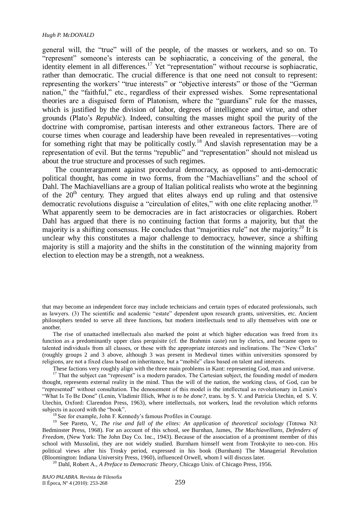#### *Hugh P. McDONALD*

general will, the "true" will of the people, of the masses or workers, and so on. To ―represent‖ someone's interests can be sophiacratic, a conceiving of the general, the identity element in all differences.<sup>17</sup> Yet "representation" without recourse is sophiacratic, rather than democratic. The crucial difference is that one need not consult to represent: representing the workers' "true interests" or "objective interests" or those of the "German" nation," the "faithful," etc., regardless of their expressed wishes. Some representational theories are a disguised form of Platonism, where the "guardians" rule for the masses, which is justified by the division of labor, degrees of intelligence and virtue, and other grounds (Plato's *Republic*). Indeed, consulting the masses might spoil the purity of the doctrine with compromise, partisan interests and other extraneous factors. There are of course times when courage and leadership have been revealed in representatives—voting for something right that may be politically costly.<sup>18</sup> And slavish representation may be a representation of evil. But the terms "republic" and "representation" should not mislead us about the true structure and processes of such regimes.

The counterargument against procedural democracy, as opposed to anti-democratic political thought, has come in two forms, from the "Machiavellians" and the school of Dahl. The Machiavellians are a group of Italian political realists who wrote at the beginning of the  $20<sup>th</sup>$  century. They argued that elites always end up ruling and that ostensive democratic revolutions disguise a "circulation of elites," with one elite replacing another.<sup>19</sup> What apparently seem to be democracies are in fact aristocracies or oligarchies. Robert Dahl has argued that there is no continuing faction that forms a majority, but that the majority is a shifting consensus. He concludes that "majorities rule" not *the* majority.<sup>20</sup> It is unclear why this constitutes a major challenge to democracy, however, since a shifting majority is still a majority and the shifts in the constitution of the winning majority from election to election may be a strength, not a weakness.

The rise of unattached intellectuals also marked the point at which higher education was freed from its function as a predominantly upper class perquisite (cf. the Brahmin caste) run by clerics, and became open to talented individuals from all classes, or those with the appropriate interests and inclinations. The "New Clerks" (roughly groups 2 and 3 above, although 3 was present in Medieval times within universities sponsored by religions, are not a fixed class based on inheritance, but a "mobile" class based on talent and interests.

These factions very roughly align with the three main problems in Kant: representing God, man and universe.

<sup>17</sup> That the subject can "represent" is a modern paradox. The Cartesian subject, the founding model of modern thought, represents external reality in the mind. Thus the will of the nation, the working class, of God, can be ―represented‖ without consultation. The denouement of this model is the intellectual as revolutionary in Lenin's ―What Is To Be Done‖ (Lenin, Vladimir Illich, *What is to be done?*, trans. by S. V. and Patricia Utechin, ed S. V. Utechin, Oxford: Clarendon Press, 1963), where intellectuals, not workers, lead the revolution which reforms subjects in accord with the "book".

<sup>18</sup> See for example, John F. Kennedy's famous Profiles in Courage.

<sup>19</sup> See Pareto, V., *The rise and fall of the elites: An application of theoretical sociology* (Totowa NJ: Bedminster Press, 1968). For an account of this school, see Burnhan, James, *The Machiavellians, Defenders of Freedom*, (New York: The John Day Co. Inc., 1943). Because of the association of a prominent member of this school with Mussolini, they are not widely studied. Burnham himself went from Trotskyite to neo-con. His political views after his Trosky period, expressed in his book (Burnham) The Managerial Revolution (Bloomington: Indiana University Press, 1960), influenced Orwell, whom I will discuss later.

<sup>20</sup> Dahl, Robert A., *A Preface to Democratic Theory*, Chicago Univ. of Chicago Press, 1956.

that may become an independent force may include technicians and certain types of educated professionals, such as lawyers. (3) The scientific and academic "estate" dependent upon research grants, universities, etc. Ancient philosophers tended to serve all three functions, but modern intellectuals tend to ally themselves with one or another.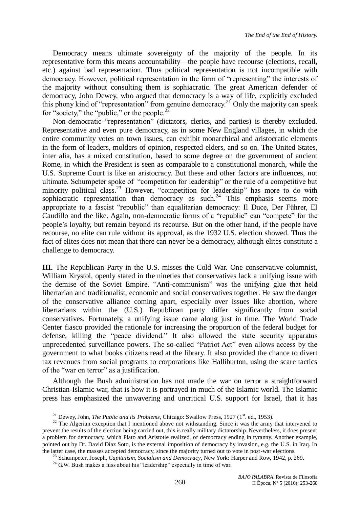Democracy means ultimate sovereignty of the majority of the people. In its representative form this means accountability—the people have recourse (elections, recall, etc.) against bad representation. Thus political representation is not incompatible with democracy. However, political representation in the form of "representing" the interests of the majority without consulting them is sophiacratic. The great American defender of democracy, John Dewey, who argued that democracy is a way of life, explicitly excluded this phony kind of "representation" from genuine democracy.<sup>21</sup> Only the majority can speak for "society," the "public," or the people. $^{22}$ 

Non-democratic "representation" (dictators, clerics, and parties) is thereby excluded. Representative and even pure democracy, as in some New England villages, in which the entire community votes on town issues, can exhibit monarchical and aristocratic elements in the form of leaders, molders of opinion, respected elders, and so on. The United States, inter alia, has a mixed constitution, based to some degree on the government of ancient Rome, in which the President is seen as comparable to a constitutional monarch, while the U.S. Supreme Court is like an aristocracy. But these and other factors are influences, not ultimate. Schumpeter spoke of "competition for leadership" or the rule of a competitive but minority political class.<sup>23</sup> However, "competition for leadership" has more to do with sophiacratic representation than democracy as such.<sup>24</sup> This emphasis seems more appropriate to a fascist "republic" than equalitarian democracy: Il Duce, Der Führer, El Caudillo and the like. Again, non-democratic forms of a "republic" can "compete" for the people's loyalty, but remain beyond its recourse. But on the other hand, if the people have recourse, no elite can rule without its approval, as the 1932 U.S. election showed. Thus the fact of elites does not mean that there can never be a democracy, although elites constitute a challenge to democracy.

**III.** The Republican Party in the U.S. misses the Cold War. One conservative columnist, William Krystol, openly stated in the nineties that conservatives lack a unifying issue with the demise of the Soviet Empire. "Anti-communism" was the unifying glue that held libertarian and traditionalist, economic and social conservatives together. He saw the danger of the conservative alliance coming apart, especially over issues like abortion, where libertarians within the (U.S.) Republican party differ significantly from social conservatives. Fortunately, a unifying issue came along just in time. The World Trade Center fiasco provided the rationale for increasing the proportion of the federal budget for defense, killing the "peace dividend." It also allowed the state security apparatus unprecedented surveillance powers. The so-called "Patriot Act" even allows access by the government to what books citizens read at the library. It also provided the chance to divert tax revenues from social programs to corporations like Halliburton, using the scare tactics of the "war on terror" as a justification.

Although the Bush administration has not made the war on terror a straightforward Christian-Islamic war, that is how it is portrayed in much of the Islamic world. The Islamic press has emphasized the unwavering and uncritical U.S. support for Israel, that it has

<sup>&</sup>lt;sup>21</sup> Dewey, John, *The Public and its Problems*, Chicago: Swallow Press, 1927 ( $1<sup>st</sup>$ . ed., 1953).

<sup>&</sup>lt;sup>22</sup> The Algerian exception that I mentioned above not withstanding. Since it was the army that intervened to prevent the results of the election being carried out, this is really military dictatorship. Nevertheless, it does present a problem for democracy, which Plato and Aristotle realized, of democracy ending in tyranny. Another example, pointed out by Dr. David Díaz Soto, is the external imposition of democracy by invasion, e.g. the U.S. in Iraq. In the latter case, the masses accepted democracy, since the majority turned out to vote in post-war elections.

<sup>23</sup> Schumpeter, Joseph, *Capitalism, Socialism and Democracy*, New York: Harper and Row, 1942, p. 269.

 $24$  G.W. Bush makes a fuss about his "leadership" especially in time of war.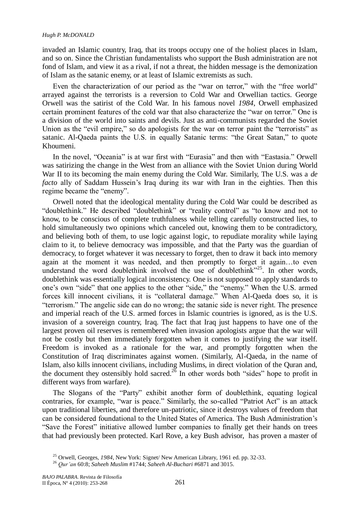### *Hugh P. McDONALD*

invaded an Islamic country, Iraq, that its troops occupy one of the holiest places in Islam, and so on. Since the Christian fundamentalists who support the Bush administration are not fond of Islam, and view it as a rival, if not a threat, the hidden message is the demonization of Islam as the satanic enemy, or at least of Islamic extremists as such.

Even the characterization of our period as the "war on terror," with the "free world" arrayed against the terrorists is a reversion to Cold War and Orwellian tactics. George Orwell was the satirist of the Cold War. In his famous novel *1984*, Orwell emphasized certain prominent features of the cold war that also characterize the "war on terror." One is a division of the world into saints and devils. Just as anti-communists regarded the Soviet Union as the "evil empire," so do apologists for the war on terror paint the "terrorists" as satanic. Al-Qaeda paints the U.S. in equally Satanic terms: "the Great Satan," to quote Khoumeni.

In the novel, "Oceania" is at war first with "Eurasia" and then with "Eastasia." Orwell was satirizing the change in the West from an alliance with the Soviet Union during World War II to its becoming the main enemy during the Cold War. Similarly, The U.S. was a *de facto* ally of Saddam Hussein's Iraq during its war with Iran in the eighties. Then this regime became the "enemy".

Orwell noted that the ideological mentality during the Cold War could be described as "doublethink." He described "doublethink" or "reality control" as "to know and not to know, to be conscious of complete truthfulness while telling carefully constructed lies, to hold simultaneously two opinions which canceled out, knowing them to be contradictory, and believing both of them, to use logic against logic, to repudiate morality while laying claim to it, to believe democracy was impossible, and that the Party was the guardian of democracy, to forget whatever it was necessary to forget, then to draw it back into memory again at the moment it was needed, and then promptly to forget it again…to even understand the word doublethink involved the use of doublethink<sup> $25$ </sup>. In other words, doublethink was essentially logical inconsistency. One is not supposed to apply standards to one's own "side" that one applies to the other "side," the "enemy." When the U.S. armed forces kill innocent civilians, it is "collateral damage." When Al-Qaeda does so, it is ―terrorism.‖ The angelic side can do no wrong; the satanic side is never right. The presence and imperial reach of the U.S. armed forces in Islamic countries is ignored, as is the U.S. invasion of a sovereign country, Iraq. The fact that Iraq just happens to have one of the largest proven oil reserves is remembered when invasion apologists argue that the war will not be costly but then immediately forgotten when it comes to justifying the war itself. Freedom is invoked as a rationale for the war, and promptly forgotten when the Constitution of Iraq discriminates against women. (Similarly, Al-Qaeda, in the name of Islam, also kills innocent civilians, including Muslims, in direct violation of the Quran and, the document they ostensibly hold sacred.<sup>26</sup> In other words both "sides" hope to profit in different ways from warfare).

The Slogans of the "Party" exhibit another form of doublethink, equating logical contraries, for example, "war is peace." Similarly, the so-called "Patriot Act" is an attack upon traditional liberties, and therefore un-patriotic, since it destroys values of freedom that can be considered foundational to the United States of America. The Bush Administration's "Save the Forest" initiative allowed lumber companies to finally get their hands on trees that had previously been protected. Karl Rove, a key Bush advisor, has proven a master of

<sup>25</sup> Orwell, Georges, *1984*, New York: Signet/ New American Library, 1961 ed. pp. 32-33.

<sup>26</sup> *Qur'an* 60:8; *Saheeh Muslim* #1744; *Saheeh Al-Buchari* #6871 and 3015.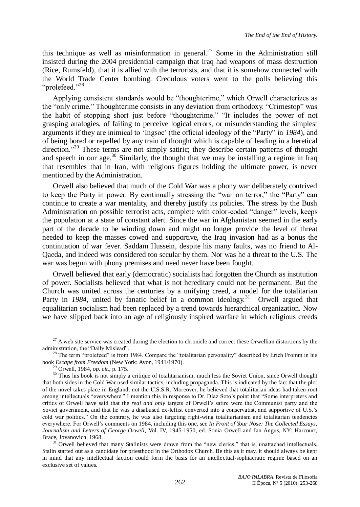this technique as well as misinformation in general.<sup>27</sup> Some in the Administration still insisted during the 2004 presidential campaign that Iraq had weapons of mass destruction (Rice, Rumsfeld), that it is allied with the terrorists, and that it is somehow connected with the World Trade Center bombing. Credulous voters went to the polls believing this " $n$ rolefeed." $^{28}$ 

Applying consistent standards would be "thoughtcrime," which Orwell characterizes as the "only crime." Thoughtcrime consists in any deviation from orthodoxy. "Crimestop" was the habit of stopping short just before "thoughtcrime." "It includes the power of not grasping analogies, of failing to perceive logical errors, or misunderstanding the simplest arguments if they are inimical to 'Ingsoc' (the official ideology of the "Party" in 1984), and of being bored or repelled by any train of thought which is capable of leading in a heretical direction.<sup>29</sup> These terms are not simply satiric; they describe certain patterns of thought and speech in our age.<sup>30</sup> Similarly, the thought that we may be installing a regime in Iraq that resembles that in Iran, with religious figures holding the ultimate power, is never mentioned by the Administration.

Orwell also believed that much of the Cold War was a phony war deliberately contrived to keep the Party in power. By continually stressing the "war on terror," the "Party" can continue to create a war mentality, and thereby justify its policies. The stress by the Bush Administration on possible terrorist acts, complete with color-coded "danger" levels, keeps the population at a state of constant alert. Since the war in Afghanistan seemed in the early part of the decade to be winding down and might no longer provide the level of threat needed to keep the masses cowed and supportive, the Iraq invasion had as a bonus the continuation of war fever. Saddam Hussein, despite his many faults, was no friend to Al-Qaeda, and indeed was considered too secular by them. Nor was he a threat to the U.S. The war was begun with phony premises and need never have been fought.

Orwell believed that early (democratic) socialists had forgotten the Church as institution of power. Socialists believed that what is not hereditary could not be permanent. But the Church was united across the centuries by a unifying creed, a model for the totalitarian Party in 1984, united by fanatic belief in a common ideology.<sup>31</sup> Orwell argued that equalitarian socialism had been replaced by a trend towards hierarchical organization. Now we have slipped back into an age of religiously inspired warfare in which religious creeds

 $27$  A web site service was created during the election to chronicle and correct these Orwellian distortions by the administration, the "Daily Mislead".

<sup>28</sup> The term "prolefeed" is from 1984. Compare the "totalitarian personality" described by Erich Fromm in his book *Escape from Freedom* (New York: Avon, 1941/1970). <sup>29</sup> Orwell, 1984, *op. cit.*, p. 175.

<sup>30</sup> Thus his book is not simply a critique of totalitarianism, much less the Soviet Union, since Orwell thought that both sides in the Cold War used similar tactics, including propaganda. This is indicated by the fact that the plot of the novel takes place in England, not the U.S.S.R. Moreover, he believed that totalitarian ideas had taken root among intellectuals "everywhere." I mention this in response to Dr. Díaz Soto's point that "Some interpreters and critics of Orwell have said that the *real and only* targets of Orwell's satire were the Communist party and the Soviet government, and that he was a disabused ex-leftist converted into a conservatist, and supportive of U.S.'s cold war politics." On the contrary, he was also targeting right-wing totalitarianism and totalitarian tendencies everywhere. For Orwell's comments on 1984, including this one, see *In Front of Your Nose: The Collected Essays, Journalism and Letters of George Orwell*, Vol. IV, 1945-1950, ed. Sonia Orwell and Ian Angus, NY: Harcourt, Brace, Jovanovich, 1968.

 $31$  Orwell believed that many Stalinists were drawn from the "new clerics," that is, unattached intellectuals. Stalin started out as a candidate for priesthood in the Orthodox Church. Be this as it may, it should always be kept in mind that any intellectual faction could form the basis for an intellectual-sophiacratic regime based on an exclusive set of values.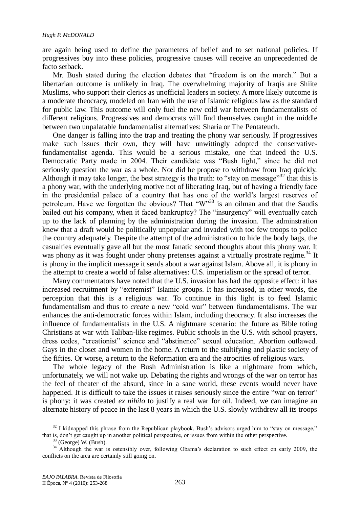are again being used to define the parameters of belief and to set national policies. If progressives buy into these policies, progressive causes will receive an unprecedented de facto setback.

Mr. Bush stated during the election debates that "freedom is on the march." But a libertarian outcome is unlikely in Iraq. The overwhelming majority of Iraqis are Shiite Muslims, who support their clerics as unofficial leaders in society. A more likely outcome is a moderate theocracy, modeled on Iran with the use of Islamic religious law as the standard for public law. This outcome will only fuel the new cold war between fundamentalists of different religions. Progressives and democrats will find themselves caught in the middle between two unpalatable fundamentalist alternatives: Sharia or The Pentateuch.

One danger is falling into the trap and treating the phony war seriously. If progressives make such issues their own, they will have unwittingly adopted the conservativefundamentalist agenda. This would be a serious mistake, one that indeed the U.S. Democratic Party made in 2004. Their candidate was "Bush light," since he did not seriously question the war as a whole. Nor did he propose to withdraw from Iraq quickly. Although it may take longer, the best strategy is the truth: to "stay on message" that this is a phony war, with the underlying motive not of liberating Iraq, but of having a friendly face in the presidential palace of a country that has one of the world's largest reserves of petroleum. Have we forgotten the obvious? That  $W^{33}$  is an oilman and that the Saudis bailed out his company, when it faced bankruptcy? The "insurgency" will eventually catch up to the lack of planning by the administration during the invasion. The adminstration knew that a draft would be politically unpopular and invaded with too few troops to police the country adequately. Despite the attempt of the administration to hide the body bags, the casualties eventually gave all but the most fanatic second thoughts about this phony war. It was phony as it was fought under phony pretenses against a virtually prostrate regime.<sup>34</sup> It is phony in the implicit message it sends about a war against Islam. Above all, it is phony in the attempt to create a world of false alternatives: U.S. imperialism or the spread of terror.

Many commentators have noted that the U.S. invasion has had the opposite effect: it has increased recruitment by "extremist" Islamic groups. It has increased, in other words, the perception that this is a religious war. To continue in this light is to feed Islamic fundamentalism and thus to *create* a new "cold war" between fundamentalisms. The war enhances the anti-democratic forces within Islam, including theocracy. It also increases the influence of fundamentalists in the U.S. A nightmare scenario: the future as Bible toting Christians at war with Taliban-like regimes. Public schools in the U.S. with school prayers, dress codes, "creationist" science and "abstinence" sexual education. Abortion outlawed. Gays in the closet and women in the home. A return to the stultifying and plastic society of the fifties. Or worse, a return to the Reformation era and the atrocities of religious wars.

The whole legacy of the Bush Administration is like a nightmare from which, unfortunately, we will not wake up. Debating the rights and wrongs of the war on terror has the feel of theater of the absurd, since in a sane world, these events would never have happened. It is difficult to take the issues it raises seriously since the entire "war on terror" is phony: it was created *ex nihilo* to justify a real war for oil. Indeed, we can imagine an alternate history of peace in the last 8 years in which the U.S. slowly withdrew all its troops

 $32$  I kidnapped this phrase from the Republican playbook. Bush's advisors urged him to "stay on message," that is, don't get caught up in another political perspective, or issues from within the other perspective.

<sup>(</sup>George) W. (Bush).

<sup>&</sup>lt;sup>34</sup> Although the war is ostensibly over, following Obama's declaration to such effect on early 2009, the conflicts on the area are certainly still going on.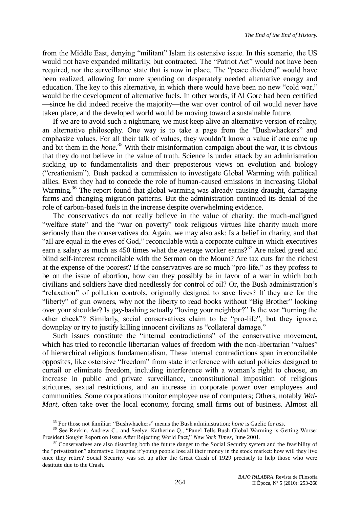from the Middle East, denying "militant" Islam its ostensive issue. In this scenario, the US would not have expanded militarily, but contracted. The "Patriot Act" would not have been required, nor the surveillance state that is now in place. The "peace dividend" would have been realized, allowing for more spending on desperately needed alternative energy and education. The key to this alternative, in which there would have been no new "cold war." would be the development of alternative fuels. In other words, if Al Gore had been certified —since he did indeed receive the majority—the war over control of oil would never have taken place, and the developed world would be moving toward a sustainable future.

If we are to avoid such a nightmare, we must keep alive an alternative version of reality, an alternative philosophy. One way is to take a page from the "Bushwhackers" and emphasize values. For all their talk of values, they wouldn't know a value if one came up and bit them in the *hone.*<sup>35</sup> With their misinformation campaign about the war, it is obvious that they do not believe in the value of truth. Science is under attack by an administration sucking up to fundamentalists and their preposterous views on evolution and biology (―creationism‖). Bush packed a commission to investigate Global Warming with political allies. Even they had to concede the role of human-caused emissions in increasing Global Warming.<sup>36</sup> The report found that global warming was already causing draught, damaging farms and changing migration patterns. But the administration continued its denial of the role of carbon-based fuels in the increase despite overwhelming evidence.

The conservatives do not really believe in the value of charity: the much-maligned "welfare state" and the "war on poverty" took religious virtues like charity much more seriously than the conservatives do. Again, we may also ask: Is a belief in charity, and that "all are equal in the eyes of God," reconcilable with a corporate culture in which executives earn a salary as much as 450 times what the average worker earns?<sup>37</sup> Are naked greed and blind self-interest reconcilable with the Sermon on the Mount? Are tax cuts for the richest at the expense of the poorest? If the conservatives are so much "pro-life," as they profess to be on the issue of abortion, how can they possibly be in favor of a war in which both civilians and soldiers have died needlessly for control of oil? Or, the Bush administration's ―relaxation‖ of pollution controls, originally designed to save lives? If they are for the "liberty" of gun owners, why not the liberty to read books without "Big Brother" looking over your shoulder? Is gay-bashing actually "loving your neighbor?" Is the war "turning the other cheek"? Similarly, social conservatives claim to be "pro-life", but they ignore, downplay or try to justify killing innocent civilians as "collateral damage."

Such issues constitute the "internal contradictions" of the conservative movement, which has tried to reconcile libertarian values of freedom with the non-libertarian "values" of hierarchical religious fundamentalism. These internal contradictions span irreconcilable opposites, like ostensive ―freedom‖ from state interference with actual policies designed to curtail or eliminate freedom, including interference with a woman's right to choose, an increase in public and private surveillance, unconstitutional imposition of religious strictures, sexual restrictions, and an increase in corporate power over employees and communities. Some corporations monitor employee use of computers; Others, notably *Wal-Mart*, often take over the local economy, forcing small firms out of business. Almost all

<sup>&</sup>lt;sup>35</sup> For those not familiar: "Bushwhackers" means the Bush administration; *hone* is Gaelic for *ass*.

<sup>&</sup>lt;sup>36</sup> See Revkin, Andrew C., and Seelye, Katherine Q., "Panel Tells Bush Global Warming is Getting Worse: President Sought Report on Issue After Rejecting World Pact," New York Times, June 2001.

<sup>&</sup>lt;sup>37</sup> Conservatives are also distorting both the future danger to the Social Security system and the feasibility of the "privatization" alternative. Imagine if young people lose all their money in the stock market: how will they live once they retire? Social Security was set up after the Great Crash of 1929 precisely to help those who were destitute due to the Crash.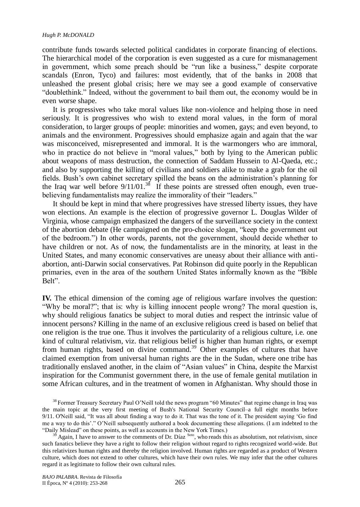contribute funds towards selected political candidates in corporate financing of elections. The hierarchical model of the corporation is even suggested as a cure for mismanagement in government, which some preach should be "run like a business," despite corporate scandals (Enron, Tyco) and failures: most evidently, that of the banks in 2008 that unleashed the present global crisis; here we may see a good example of conservative "doublethink." Indeed, without the government to bail them out, the economy would be in even worse shape.

It is progressives who take moral values like non-violence and helping those in need seriously. It is progressives who wish to extend moral values, in the form of moral consideration, to larger groups of people: minorities and women, gays; and even beyond, to animals and the environment. Progressives should emphasize again and again that the war was misconceived, misrepresented and immoral. It is the warmongers who are immoral, who in practice do not believe in "moral values," both by lying to the American public about weapons of mass destruction, the connection of Saddam Hussein to Al-Qaeda, etc.; and also by supporting the killing of civilians and soldiers alike to make a grab for the oil fields. Bush's own cabinet secretary spilled the beans on the administration's planning for the Iraq war well before  $9/11/01$ .<sup>38</sup> If these points are stressed often enough, even truebelieving fundamentalists may realize the immorality of their "leaders."

It should be kept in mind that where progressives have stressed liberty issues, they have won elections. An example is the election of progressive governor L. Douglas Wilder of Virginia, whose campaign emphasized the dangers of the surveillance society in the context of the abortion debate (He campaigned on the pro-choice slogan, "keep the government out of the bedroom.‖) In other words, parents, not the government, should decide whether to have children or not. As of now, the fundamentalists are in the minority, at least in the United States, and many economic conservatives are uneasy about their alliance with antiabortion, anti-Darwin social conservatives. Pat Robinson did quite poorly in the Republican primaries, even in the area of the southern United States informally known as the "Bible" Belt".

**IV.** The ethical dimension of the coming age of religious warfare involves the question: ―Why be moral?‖; that is: why is killing innocent people wrong? The moral question is, why should religious fanatics be subject to moral duties and respect the intrinsic value of innocent persons? Killing in the name of an exclusive religious creed is based on belief that one religion is the true one. Thus it involves the particularity of a religious culture, i.e. one kind of cultural relativism, viz. that religious belief is higher than human rights, or exempt from human rights, based on divine command.<sup>39</sup> Other examples of cultures that have claimed exemption from universal human rights are the in the Sudan, where one tribe has traditionally enslaved another, in the claim of "Asian values" in China, despite the Marxist inspiration for the Communist government there, in the use of female genital mutilation in some African cultures, and in the treatment of women in Afghanistan. Why should those in

<sup>&</sup>lt;sup>38</sup> Former Treasury Secretary Paul O'Neill told the news program "60 Minutes" that regime change in Iraq was the main topic at the very first meeting of Bush's National Security Council–a full eight months before 9/11. O'Neill said, "It was all about finding a way to do it. That was the tone of it. The president saying 'Go find me a way to do this'." O'Neill subsequently authored a book documenting these allegations. (I am indebted to the "Daily Mislead" on these points, as well as accounts in the New York Times.)

Again, I have to answer to the comments of Dr. Díaz <sup>Soto</sup>, who reads this as absolutism, not relativism, since such fanatics believe they have a right to follow their religion without regard to rights recognized world-wide. But this relativizes human rights and thereby the religion involved. Human rights are regarded as a product of Western culture, which does not extend to other cultures, which have their own rules. We may infer that the other cultures regard it as legitimate to follow their own cultural rules.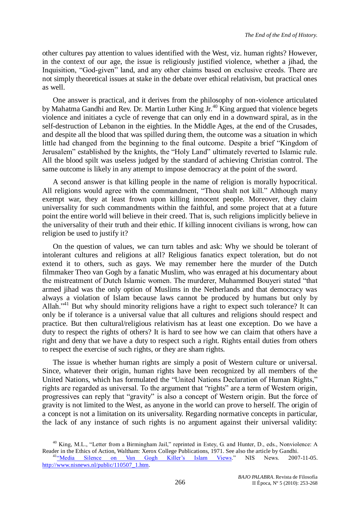other cultures pay attention to values identified with the West, viz. human rights? However, in the context of our age, the issue is religiously justified violence, whether a jihad, the Inquisition, "God-given" land, and any other claims based on exclusive creeds. There are not simply theoretical issues at stake in the debate over ethical relativism, but practical ones as well.

One answer is practical, and it derives from the philosophy of non-violence articulated by Mahatma Gandhi and Rev. Dr. Martin Luther King Jr.<sup>40</sup> King argued that violence begets violence and initiates a cycle of revenge that can only end in a downward spiral, as in the self-destruction of Lebanon in the eighties. In the Middle Ages, at the end of the Crusades, and despite all the blood that was spilled during them, the outcome was a situation in which little had changed from the beginning to the final outcome. Despite a brief "Kingdom of Jerusalem" established by the knights, the "Holy Land" ultimately reverted to Islamic rule. All the blood spilt was useless judged by the standard of achieving Christian control. The same outcome is likely in any attempt to impose democracy at the point of the sword.

A second answer is that killing people in the name of religion is morally hypocritical. All religions would agree with the commandment, "Thou shalt not kill." Although many exempt war, they at least frown upon killing innocent people. Moreover, they claim universality for such commandments within the faithful, and some project that at a future point the entire world will believe in their creed. That is, such religions implicitly believe in the universality of their truth and their ethic. If killing innocent civilians is wrong, how can religion be used to justify it?

On the question of values, we can turn tables and ask: Why we should be tolerant of intolerant cultures and religions at all? Religious fanatics expect toleration, but do not extend it to others, such as gays. We may remember here the murder of the Dutch filmmaker Theo van Gogh by a fanatic Muslim, who was enraged at his documentary about the mistreatment of Dutch Islamic women. The murderer, Muhammed Bouyeri stated "that armed jihad was the only option of Muslims in the Netherlands and that democracy was always a violation of Islam because laws cannot be produced by humans but only by Allah."<sup>41</sup> But why should minority religions have a right to expect such tolerance? It can only be if tolerance is a universal value that all cultures and religions should respect and practice. But then cultural/religious relativism has at least one exception. Do we have a duty to respect the rights of others? It is hard to see how we can claim that others have a right and deny that we have a duty to respect such a right. Rights entail duties from others to respect the exercise of such rights, or they are sham rights.

The issue is whether human rights are simply a posit of Western culture or universal. Since, whatever their origin, human rights have been recognized by all members of the United Nations, which has formulated the "United Nations Declaration of Human Rights," rights are regarded as universal. To the argument that "rights" are a term of Western origin, progressives can reply that "gravity" is also a concept of Western origin. But the force of gravity is not limited to the West, as anyone in the world can prove to herself. The origin of a concept is not a limitation on its universality. Regarding normative concepts in particular, the lack of any instance of such rights is no argument against their universal validity:

<sup>&</sup>lt;sup>40</sup> King, M.L., "Letter from a Birmingham Jail," reprinted in Estey, G. and Hunter, D., eds., Nonviolence: A Reader in the Ethics of Action, Waltham: Xerox College Publications, 1971. See also the article by Gandhi. <sup>41</sup><sup>a</sup>Media Silence on Van Gogh Killer's Islam Views." NIS News. 2007-11-05. [http://www.nisnews.nl/public/110507\\_1.htm.](http://www.nisnews.nl/public/110507_1.htm)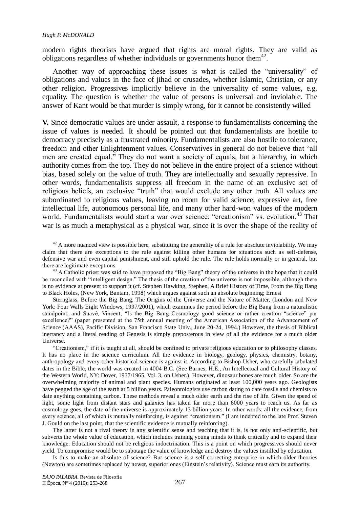modern rights theorists have argued that rights are moral rights. They are valid as obligations regardless of whether individuals or governments honor them $42$ .

Another way of approaching these issues is what is called the "universality" of obligations and values in the face of jihad or crusades, whether Islamic, Christian, or any other religion. Progressives implicitly believe in the universality of some values, e.g. equality. The question is whether the value of persons is universal and inviolable. The answer of Kant would be that murder is simply wrong, for it cannot be consistently willed

**V.** Since democratic values are under assault, a response to fundamentalists concerning the issue of values is needed. It should be pointed out that fundamentalists are hostile to democracy precisely as a frustrated minority. Fundamentalists are also hostile to tolerance, freedom and other Enlightenment values. Conservatives in general do not believe that "all men are created equal.<sup>7</sup> They do not want a society of equals, but a hierarchy, in which authority comes from the top. They do not believe in the entire project of a science without bias, based solely on the value of truth. They are intellectually and sexually repressive. In other words, fundamentalists suppress all freedom in the name of an exclusive set of religious beliefs, an exclusive "truth" that would exclude any other truth. All values are subordinated to religious values, leaving no room for valid science, expressive art, free intellectual life, autonomous personal life, and many other hard-won values of the modern world. Fundamentalists would start a war over science: "creationism" vs. evolution.<sup>43</sup> That war is as much a metaphysical as a physical war, since it is over the shape of the reality of

 $42$  A more nuanced view is possible here, substituting the generality of a rule for absolute inviolability. We may claim that there are exceptions to the rule against killing other humans for situations such as self-defense, defensive war and even capital punishment, and still uphold the rule. The rule holds normally or in general, but there are legitimate exceptions.

<sup>43</sup> A Catholic priest was said to have proposed the "Big Bang" theory of the universe in the hope that it could be reconciled with "intelligent design." The thesis of the creation of the universe is not impossible, although there is no evidence at present to support it (cf. Stephen Hawking, Stephen, A Brief History of Time, From the Big Bang to Black Holes, (New York, Bantam, 1998) which argues against such an absolute beginning; Ernest

Sternglass, Before the Big Bang, The Origins of the Universe and the Nature of Matter, (London and New York: Four Walls Eight Windows, 1997/2001), which examines the period before the Big Bang from a naturalistic standpoint; and Suavé, Vincent, "Is the Big Bang Cosmology good science or rather creation "science" par excellence?" (paper presented at the 75th annual meeting of the American Association of the Advancement of Science (AAAS), Pacific Division, San Francisco State Univ., June 20-24, 1994.) However, the thesis of Biblical inerrancy and a literal reading of Genesis is simply preposterous in view of all the evidence for a much older Universe.

―Creationism,‖ if it is taught at all, should be confined to private religious education or to philosophy classes. It has no place in the science curriculum. All the evidence in biology, geology, physics, chemistry, botany, anthropology and every other historical science is against it. According to Bishop Usher, who carefully tabulated dates in the Bible, the world was created in 4004 B.C. (See Barnes, H.E., An Intellectual and Cultural History of the Western World, NY: Dover, 1937/1965, Vol. 3, on Usher.) However, dinosaur bones are much older. So are the overwhelming majority of animal and plant species. Humans originated at least 100,000 years ago. Geologists have pegged the age of the earth at 5 billion years. Paleontologists use carbon dating to date fossils and chemists to date anything containing carbon. These methods reveal a much older earth and the rise of life. Given the speed of light, some light from distant stars and galaxies has taken far more than 6000 years to reach us. As far as cosmology goes, the date of the universe is approximately 13 billion years. In other words: all the evidence, from every science, all of which is mutually reinforcing, is against "creationism." (I am indebted to the late Prof. Steven J. Gould on the last point, that the scientific evidence is mutually reinforcing).

The latter is not a rival theory in any scientific sense and teaching that it is, is not only anti-scientific, but subverts the whole value of education, which includes training young minds to think critically and to expand their knowledge. Education should not be religious indoctrination. This is a point on which progressives should never yield. To compromise would be to sabotage the value of knowledge and destroy the values instilled by education.

Is this to make an absolute of science? But science is a self correcting enterprise in which older theories (Newton) are sometimes replaced by newer, superior ones (Einstein's relativity). Science must earn its authority.